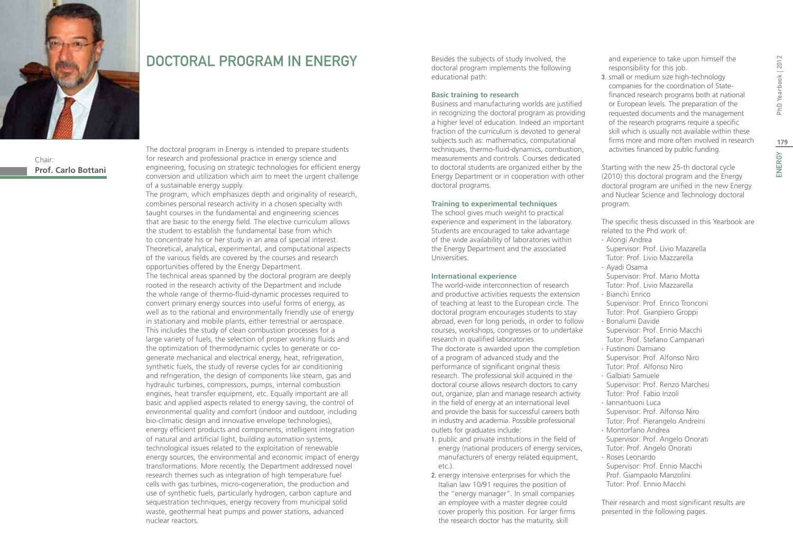

Chair:

## DOCTORAL PROGRAM IN ENERGY

**Prof. Carlo Bottani**

The doctoral program in Energy is intended to prepare students for research and professional practice in energy science and engineering, focusing on strategic technologies for efficient energy conversion and utilization which aim to meet the urgent challenge of a sustainable energy supply.

The program, which emphasizes depth and originality of research, combines personal research activity in a chosen specialty with taught courses in the fundamental and engineering sciences that are basic to the energy field. The elective curriculum allows the student to establish the fundamental base from which to concentrate his or her study in an area of special interest. Theoretical, analytical, experimental, and computational aspects of the various fields are covered by the courses and research opportunities offered by the Energy Department. The technical areas spanned by the doctoral program are deeply rooted in the research activity of the Department and include the whole range of thermo-fluid-dynamic processes required to convert primary energy sources into useful forms of energy, as well as to the rational and environmentally friendly use of energy in stationary and mobile plants, either terrestrial or aerospace. This includes the study of clean combustion processes for a large variety of fuels, the selection of proper working fluids and the optimization of thermodynamic cycles to generate or cogenerate mechanical and electrical energy, heat, refrigeration, synthetic fuels, the study of reverse cycles for air conditioning and refrigeration, the design of components like steam, gas and hydraulic turbines, compressors, pumps, internal combustion engines, heat transfer equipment, etc. Equally important are all basic and applied aspects related to energy saving, the control of environmental quality and comfort (indoor and outdoor, including bio-climatic design and innovative envelope technologies), energy efficient products and components, intelligent integration of natural and artificial light, building automation systems, technological issues related to the exploitation of renewable energy sources, the environmental and economic impact of energy transformations. More recently, the Department addressed novel research themes such as integration of high temperature fuel cells with gas turbines, micro-cogeneration, the production and use of synthetic fuels, particularly hydrogen, carbon capture and sequestration techniques, energy recovery from municipal solid waste, geothermal heat pumps and power stations, advanced nuclear reactors.

Besides the subjects of study involved, the doctoral program implements the following educational path:

#### **Basic training to research**

Business and manufacturing worlds are justified in recognizing the doctoral program as providing a higher level of education. Indeed an important fraction of the curriculum is devoted to general subjects such as: mathematics, computational techniques, thermo-fluid-dynamics, combustion, measurements and controls. Courses dedicated to doctoral students are organized either by the Energy Department or in cooperation with other doctoral programs.

#### **Training to experimental techniques**

The school gives much weight to practical experience and experiment in the laboratory. Students are encouraged to take advantage of the wide availability of laboratories within the Energy Department and the associated Universities.

#### **International experience**

The world-wide interconnection of research and productive activities requests the extension of teaching at least to the European circle. The doctoral program encourages students to stay abroad, even for long periods, in order to follow courses, workshops, congresses or to undertake research in qualified laboratories. The doctorate is awarded upon the completion of a program of advanced study and the performance of significant original thesis research. The professional skill acquired in the doctoral course allows research doctors to carry out, organize, plan and manage research activity in the field of energy at an international level and provide the basis for successful careers both in industry and academia. Possible professional outlets for graduates include:

- 1. public and private institutions in the field of energy (national producers of energy services, manufacturers of energy related equipment, etc.).
- 2. energy intensive enterprises for which the Italian law 10/91 requires the position of the "energy manager". In small companies an employee with a master degree could cover properly this position. For larger firms the research doctor has the maturity, skill

and experience to take upon himself the responsibility for this job.

3. small or medium size high-technology companies for the coordination of Statefinanced research programs both at national or European levels. The preparation of the requested documents and the management of the research programs require a specific skill which is usually not available within these firms more and more often involved in research activities financed by public funding.

Starting with the new 25-th doctoral cycle (2010) this doctoral program and the Energy doctoral program are unified in the new Energy and Nuclear Science and Technology doctoral program.

The specific thesis discussed in this Yearbook are related to the Phd work of:

- ∙ Alongi Andrea
- Supervisor: Prof. Livio Mazarella
- Tutor: Prof. Livio Mazzarella ∙ Ayadi Osama
- Supervisor: Prof. Mario Motta Tutor: Prof. Livio Mazzarella
- ∙ Bianchi Enrico Supervisor: Prof. Enrico Tronconi
- Tutor: Prof. Gianpiero Groppi ∙ Bonalumi Davide
- Supervisor: Prof. Ennio Macchi Tutor: Prof. Stefano Campanari
- ∙ Fustinoni Damiano Supervisor: Prof. Alfonso Niro Tutor: Prof. Alfonso Niro
- ∙ Galbiati Samuele Supervisor: Prof. Renzo Marchesi Tutor: Prof. Fabio Inzoli
- ∙ Iannantuoni Luca Supervisor: Prof. Alfonso Niro Tutor: Prof. Pierangelo Andreini
- ∙ Montorfano Andrea Supervisor: Prof. Angelo Onorati
- Tutor: Prof. Angelo Onorati ∙ Roses Leonardo Supervisor: Prof. Ennio Macchi
- Prof. Giampaolo Manzolini Tutor: Prof. Ennio Macchi

Their research and most significant results are presented in the following pages.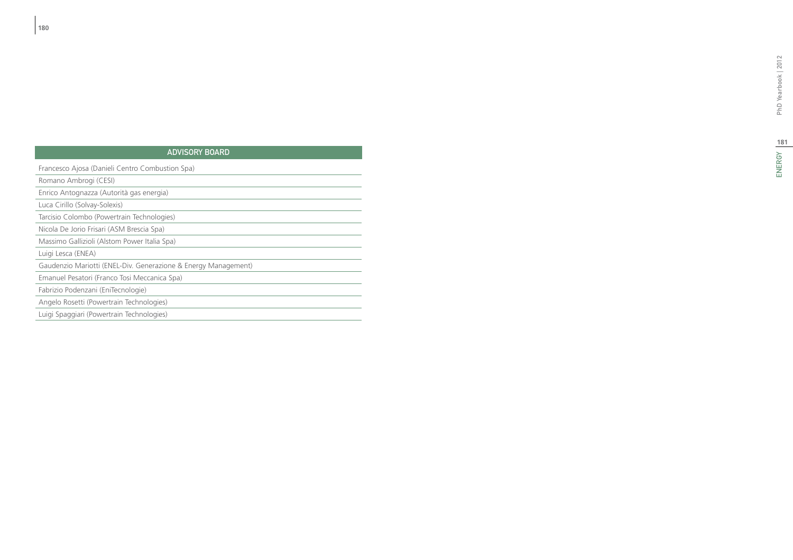# 181<br>ENERGY

#### ADVISORY B d i

| Francesco Ajosa (Danieli Centro Combustion Spa)                |
|----------------------------------------------------------------|
| Romano Ambrogi (CESI)                                          |
| Enrico Antognazza (Autorità gas energia)                       |
| Luca Cirillo (Solvay-Solexis)                                  |
| Tarcisio Colombo (Powertrain Technologies)                     |
| Nicola De Jorio Frisari (ASM Brescia Spa)                      |
| Massimo Gallizioli (Alstom Power Italia Spa)                   |
| Luigi Lesca (ENEA)                                             |
| Gaudenzio Mariotti (ENEL-Div. Generazione & Energy Management) |
| Emanuel Pesatori (Franco Tosi Meccanica Spa)                   |
| Fabrizio Podenzani (EniTecnologie)                             |
| Angelo Rosetti (Powertrain Technologies)                       |
| Luigi Spaggiari (Powertrain Technologies)                      |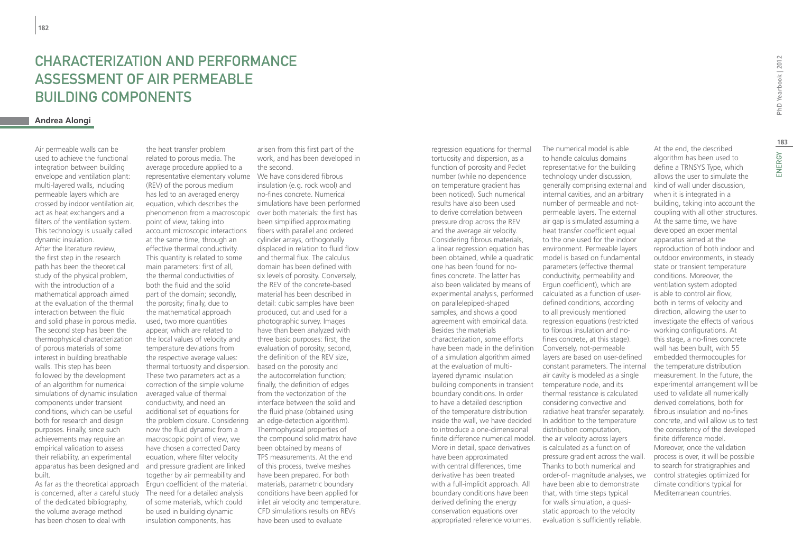## CHARACTERIZATION AND PERFORMANCE ASSESSMENT OF AIR PERMEABLE BUILDING COMPONENTS

#### **Andrea Alongi**

Air permeable walls can be used to achieve the functional integration between building envelope and ventilation plant: multi-layered walls, including permeable layers which are crossed by indoor ventilation air, act as heat exchangers and a filters of the ventilation system. This technology is usually called dynamic insulation. After the literature review, the first step in the research path has been the theoretical study of the physical problem, with the introduction of a mathematical approach aimed at the evaluation of the thermal interaction between the fluid and solid phase in porous media. The second step has been the thermophysical characterization of porous materials of some interest in building breathable walls. This step has been followed by the development of an algorithm for numerical simulations of dynamic insulation components under transient conditions, which can be useful both for research and design purposes. Finally, since such achievements may require an empirical validation to assess their reliability, an experimental apparatus has been designed and built.

As far as the theoretical approach Ergun coefficient of the material. is concerned, after a careful study of the dedicated bibliography, the volume average method has been chosen to deal with

the heat transfer problem related to porous media. The average procedure applied to a representative elementary volume We have considered fibrous (REV) of the porous medium has led to an averaged energy equation, which describes the phenomenon from a macroscopic over both materials: the first has point of view, taking into account microscopic interactions at the same time, through an effective thermal conductivity. This quantity is related to some main parameters: first of all, the thermal conductivities of both the fluid and the solid part of the domain; secondly, the porosity; finally, due to the mathematical approach used, two more quantities appear, which are related to the local values of velocity and temperature deviations from the respective average values: thermal tortuosity and dispersion. These two parameters act as a correction of the simple volume averaged value of thermal conductivity, and need an additional set of equations for the problem closure. Considering now the fluid dynamic from a macroscopic point of view, we have chosen a corrected Darcy equation, where filter velocity and pressure gradient are linked together by air permeability and The need for a detailed analysis of some materials, which could be used in building dynamic insulation components, has

arisen from this first part of the work, and has been developed in the second.

insulation (e.g. rock wool) and no-fines concrete. Numerical simulations have been performed been simplified approximating fibers with parallel and ordered cylinder arrays, orthogonally displaced in relation to fluid flow and thermal flux. The calculus domain has been defined with six levels of porosity. Conversely, the REV of the concrete-based material has been described in detail: cubic samples have been produced, cut and used for a photographic survey. Images have than been analyzed with three basic purposes: first, the evaluation of porosity; second, the definition of the REV size, based on the porosity and the autocorrelation function; finally, the definition of edges from the vectorization of the interface between the solid and the fluid phase (obtained using an edge-detection algorithm). Thermophysical properties of the compound solid matrix have been obtained by means of TPS measurements. At the end of this process, twelve meshes have been prepared. For both materials, parametric boundary conditions have been applied for inlet air velocity and temperature. CFD simulations results on REVs have been used to evaluate

regression equations for thermal tortuosity and dispersion, as a function of porosity and Peclet number (while no dependence on temperature gradient has been noticed). Such numerical results have also been used to derive correlation between pressure drop across the REV and the average air velocity. Considering fibrous materials, a linear regression equation has been obtained, while a quadratic one has been found for nofines concrete. The latter has also been validated by means of experimental analysis, performed on parallelepiped-shaped samples, and shows a good agreement with empirical data. Besides the materials characterization, some efforts have been made in the definition Conversely, not-permeable of a simulation algorithm aimed at the evaluation of multilayered dynamic insulation building components in transient temperature node, and its boundary conditions. In order to have a detailed description of the temperature distribution inside the wall, we have decided to introduce a one-dimensional finite difference numerical model. the air velocity across layers More in detail, space derivatives have been approximated with central differences, time derivative has been treated with a full-implicit approach. All boundary conditions have been derived defining the energy conservation equations over appropriated reference volumes.

The numerical model is able to handle calculus domains representative for the building technology under discussion, generally comprising external and internal cavities, and an arbitrary number of permeable and notpermeable layers. The external air gap is simulated assuming a heat transfer coefficient equal to the one used for the indoor environment. Permeable layers model is based on fundamental parameters (effective thermal conductivity, permeability and Ergun coefficient), which are calculated as a function of userdefined conditions, according to all previously mentioned regression equations (restricted to fibrous insulation and nofines concrete, at this stage). layers are based on user-defined constant parameters. The internal air cavity is modeled as a single thermal resistance is calculated considering convective and radiative heat transfer separately. In addition to the temperature distribution computation, is calculated as a function of pressure gradient across the wall. Thanks to both numerical and order-of- magnitude analyses, we have been able to demonstrate that, with time steps typical for walls simulation, a quasistatic approach to the velocity evaluation is sufficiently reliable.

**183**At the end, the described algorithm has been used to define a TRNSYS Type, which allows the user to simulate the kind of wall under discussion,

when it is integrated in a building, taking into account the coupling with all other structures. At the same time, we have developed an experimental apparatus aimed at the reproduction of both indoor and outdoor environments, in steady state or transient temperature conditions. Moreover, the ventilation system adopted is able to control air flow, both in terms of velocity and direction, allowing the user to investigate the effects of various working configurations. At this stage, a no-fines concrete wall has been built, with 55 embedded thermocouples for the temperature distribution measurement. In the future, the experimental arrangement will be used to validate all numerically derived correlations, both for fibrous insulation and no-fines concrete, and will allow us to test the consistency of the developed finite difference model. Moreover, once the validation process is over, it will be possible to search for stratigraphies and control strategies optimized for climate conditions typical for

Mediterranean countries.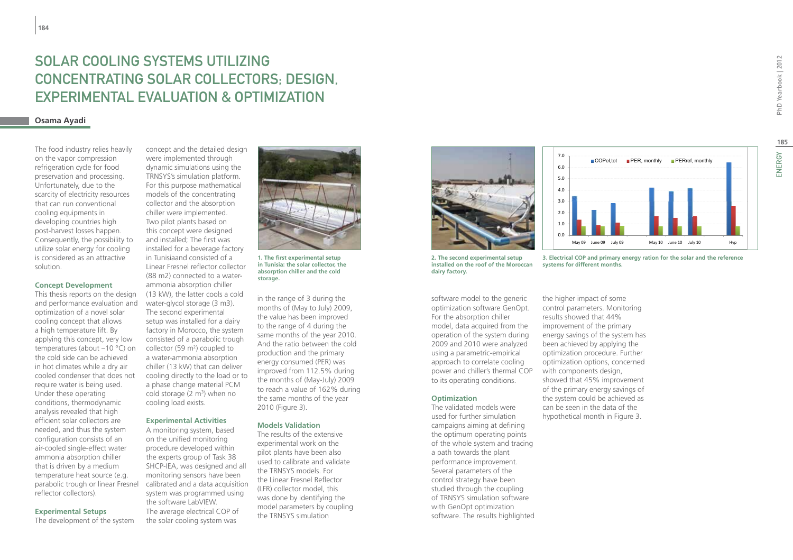## Solar Cooling Systems Utilizing Concentrating Solar Collectors; Design, Experimental Evaluation & Optimization

#### **Osama Ayadi**

The food industry relies heavily on the vapor compression refrigeration cycle for food preservation and processing. Unfortunately, due to the scarcity of electricity resources that can run conventional cooling equipments in developing countries high post-harvest losses happen. Consequently, the possibility to utilize solar energy for cooling is considered as an attractive solution.

#### **Concept Development**

This thesis reports on the design and performance evaluation and optimization of a novel solar cooling concept that allows a high temperature lift. By applying this concept, very low temperatures (about –10 °C) on the cold side can be achieved in hot climates while a dry air cooled condenser that does not require water is being used. Under these operating conditions, thermodynamic analysis revealed that high efficient solar collectors are needed, and thus the system configuration consists of an air-cooled single-effect water ammonia absorption chiller that is driven by a medium temperature heat source (e.g. parabolic trough or linear Fresnel reflector collectors).

**Experimental Setups** 

The development of the system

concept and the detailed design were implemented through dynamic simulations using the TRNSYS's simulation platform. For this purpose mathematical models of the concentrating collector and the absorption chiller were implemented. Two pilot plants based on this concept were designed and installed; The first was installed for a beverage factory in Tunisiaand consisted of a Linear Fresnel reflector collector (88 m2) connected to a waterammonia absorption chiller (13 kW), the latter cools a cold water-glycol storage (3 m3). The second experimental setup was installed for a dairy factory in Morocco, the system consisted of a parabolic trough collector  $(59 \text{ m}^2)$  coupled to a water-ammonia absorption chiller (13 kW) that can deliver cooling directly to the load or to a phase change material PCM cold storage  $(2 \text{ m}^3)$  when no cooling load exists.

#### **Experimental Activities**

A monitoring system, based on the unified monitoring procedure developed within the experts group of Task 38 SHCP-IEA, was designed and all monitoring sensors have been calibrated and a data acquisition system was programmed using the software LabVIEW. The average electrical COP of the solar cooling system was



**1. The first experimental setup in Tunisia: the solar collector, the absorption chiller and the cold storage.**

in the range of 3 during the months of (May to July) 2009, the value has been improved to the range of 4 during the same months of the year 2010. And the ratio between the cold production and the primary energy consumed (PER) was improved from 112.5% during the months of (May-July) 2009 to reach a value of 162% during the same months of the year 2010 (Figure 3).

#### **Models Validation**

The results of the extensive experimental work on the pilot plants have been also used to calibrate and validate the TRNSYS models. For the Linear Fresnel Reflector (LFR) collector model, this was done by identifying the model parameters by coupling the TRNSYS simulation





**2. The second experimental setup installed on the roof of the Moroccan dairy factory.**

software model to the generic optimization software GenOpt. For the absorption chiller model, data acquired from the operation of the system during 2009 and 2010 were analyzed using a parametric-empirical approach to correlate cooling power and chiller's thermal COP to its operating conditions.

#### **Optimization**

The validated models were used for further simulation campaigns aiming at defining the optimum operating points of the whole system and tracing a path towards the plant performance improvement. Several parameters of the control strategy have been studied through the coupling of TRNSYS simulation software with GenOpt optimization software. The results highlighted

the higher impact of some control parameters. Monitoring results showed that 44% improvement of the primary energy savings of the system has been achieved by applying the optimization procedure. Further optimization options, concerned with components design, showed that 45% improvement of the primary energy savings of the system could be achieved as can be seen in the data of the hypothetical month in Figure 3.

**systems for different months.**

PhD Yearbook | 2012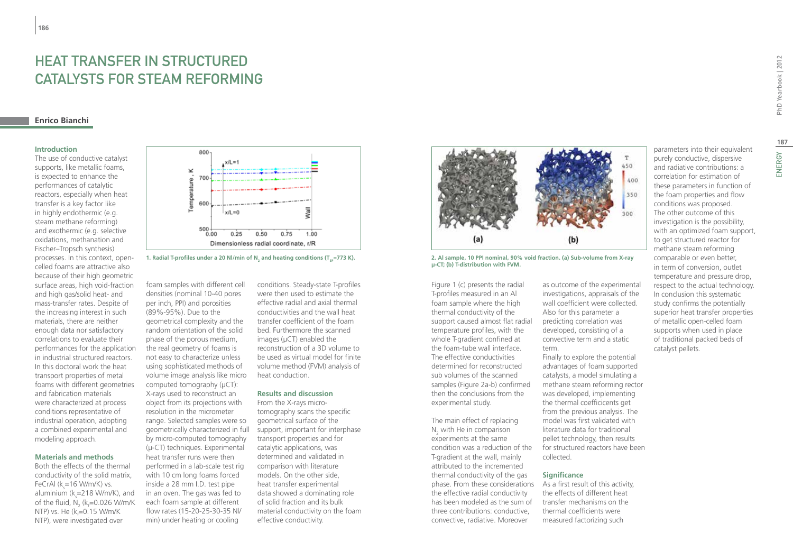## Heat Transfer in Structured Catalysts for Steam Reforming

#### **Enrico Bianchi**

#### **Introduction**

The use of conductive catalyst supports, like metallic foams, is expected to enhance the performances of catalytic reactors, especially when heat transfer is a key factor like in highly endothermic (e.g. steam methane reforming) and exothermic (e.g. selective oxidations, methanation and Fischer–Tropsch synthesis) processes. In this context, opencelled foams are attractive also because of their high geometric surface areas, high void-fraction and high gas/solid heat- and mass-transfer rates. Despite of the increasing interest in such materials, there are neither enough data nor satisfactory correlations to evaluate their performances for the application in industrial structured reactors. In this doctoral work the heat transport properties of metal foams with different geometries and fabrication materials were characterized at process conditions representative of industrial operation, adopting a combined experimental and modeling approach.

#### **Materials and methods**

Both the effects of the thermal conductivity of the solid matrix, FeCrAl (k<sub>s</sub>=16 W/m/K) vs. aluminium (k<sub>s</sub>=218 W/m/K), and of the fluid,  $N_{2}$  (k<sub>f</sub>=0.026 W/m/K NTP) vs. He (k<sub>f</sub>=0.15 W/m/K NTP), were investigated over



1. Radial T-profiles under a 20 Nl/min of N<sub>2</sub> and heating conditions (T<sub>sP</sub>=773 K).

foam samples with different cell densities (nominal 10-40 pores per inch, PPI) and porosities (89%-95%). Due to the geometrical complexity and the random orientation of the solid phase of the porous medium, the real geometry of foams is not easy to characterize unless using sophisticated methods of volume image analysis like micro computed tomography (uCT): X-rays used to reconstruct an object from its projections with resolution in the micrometer range. Selected samples were so geometrically characterized in full by micro-computed tomography (μ-CT) techniques. Experimental heat transfer runs were then performed in a lab-scale test rig with 10 cm long foams forced inside a 28 mm I.D. test pipe in an oven. The gas was fed to each foam sample at different flow rates (15-20-25-30-35 Nl/ min) under heating or cooling

conditions. Steady-state T-profiles were then used to estimate the effective radial and axial thermal conductivities and the wall heat transfer coefficient of the foam bed. Furthermore the scanned images (μCT) enabled the reconstruction of a 3D volume to be used as virtual model for finite volume method (FVM) analysis of heat conduction.

#### **Results and discussion**

From the X-rays microtomography scans the specific geometrical surface of the support, important for interphase transport properties and for catalytic applications, was determined and validated in comparison with literature models. On the other side, heat transfer experimental data showed a dominating role of solid fraction and its bulk material conductivity on the foam effective conductivity.



**2. Al sample, 10 PPI nominal, 90% void fraction. (a) Sub-volume from X-ray μ-CT; (b) T-distribution with FVM.**

Figure 1 (c) presents the radial T-profiles measured in an Al foam sample where the high thermal conductivity of the support caused almost flat radial temperature profiles, with the whole T-gradient confined at the foam-tube wall interface. The effective conductivities determined for reconstructed sub volumes of the scanned samples (Figure 2a-b) confirmed then the conclusions from the experimental study.

The main effect of replacing  $N_2$  with He in comparison experiments at the same condition was a reduction of the T-gradient at the wall, mainly attributed to the incremented thermal conductivity of the gas phase. From these considerations the effective radial conductivity has been modeled as the sum of three contributions: conductive, convective, radiative. Moreover

as outcome of the experimental investigations, appraisals of the wall coefficient were collected. Also for this parameter a predicting correlation was developed, consisting of a convective term and a static term.

Finally to explore the potential advantages of foam supported catalysts, a model simulating a methane steam reforming rector was developed, implementing the thermal coefficicents get from the previous analysis. The model was first validated with literature data for traditional pellet technology, then results for structured reactors have been collected.

#### **Significance**

As a first result of this activity, the effects of different heat transfer mechanisms on the thermal coefficients were measured factorizing such

parameters into their equivalent purely conductive, dispersive and radiative contributions: a correlation for estimation of these parameters in function of the foam properties and flow conditions was proposed. The other outcome of this investigation is the possibility, with an optimized foam support, to get structured reactor for methane steam reforming comparable or even better, in term of conversion, outlet temperature and pressure drop, respect to the actual technology. In conclusion this systematic study confirms the potentially superior heat transfer properties of metallic open-celled foam supports when used in place of traditional packed beds of catalyst pellets.

187<br>ENERGY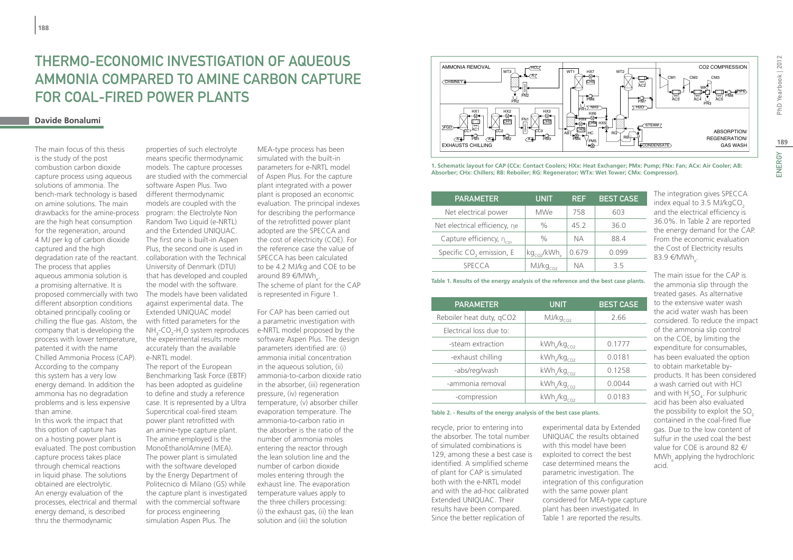## Thermo-economic investigation of aqueous ammonia compared to amine carbon capture for coal-fired power plants

#### **Davide Bonalumi**

The main focus of this thesis is the study of the post combustion carbon dioxide capture process using aqueous solutions of ammonia. The bench-mark technology is based on amine solutions. The main drawbacks for the amine-process are the high heat consumption for the regeneration, around 4 MJ per kg of carbon dioxide captured and the high degradation rate of the reactant. The process that applies aqueous ammonia solution is a promising alternative. It is proposed commercially with two different absorption conditions obtained principally cooling or chilling the flue gas. Alstom, the company that is developing the process with lower temperature, patented it with the name Chilled Ammonia Process (CAP). According to the company this system has a very low energy demand. In addition the ammonia has no degradation problems and is less expensive than amine.

In this work the impact that this option of capture has on a hosting power plant is evaluated. The post combustion capture process takes place through chemical reactions in liquid phase. The solutions obtained are electrolytic. An energy evaluation of the processes, electrical and thermal energy demand, is described thru the thermodynamic

properties of such electrolyte means specific thermodynamic models. The capture processes are studied with the commercial software Aspen Plus. Two different thermodynamic models are coupled with the program: the Electrolyte Non Random Two Liquid (e-NRTL) and the Extended UNIQUAC. The first one is built-in Aspen Plus, the second one is used in collaboration with the Technical University of Denmark (DTU) that has developed and coupled the model with the software. The models have been validated against experimental data. The Extended UNIQUAC model with fitted parameters for the NH<sub>3</sub>-CO<sub>2</sub>-H<sub>2</sub>O system reproduces the experimental results more accurately than the available e-NRTL model.

The report of the European Benchmarking Task Force (EBTF) has been adopted as guideline to define and study a reference case. It is represented by a Ultra Supercritical coal-fired steam power plant retrofitted with an amine-type capture plant. The amine employed is the MonoEthanolAmine (MEA). The power plant is simulated with the software developed by the Energy Department of Politecnico di Milano (GS) while the capture plant is investigated with the commercial software for process engineering simulation Aspen Plus. The

MEA-type process has been simulated with the built-in parameters for e-NRTL model of Aspen Plus. For the capture plant integrated with a power plant is proposed an economic evaluation. The principal indexes for describing the performance of the retrofitted power plant adopted are the SPECCA and the cost of electricity (COE). For the reference case the value of SPECCA has been calculated to be 4.2 MJ/kg and COE to be around 89 €/MWh<sub>e</sub>. The scheme of plant for the CAP is represented in Figure 1.

For CAP has been carried out a parametric investigation with e-NRTL model proposed by the software Aspen Plus. The design parameters identified are: (i) ammonia initial concentration in the aqueous solution, (ii) ammonia-to-carbon dioxide ratio in the absorber, (iii) regeneration pressure, (iv) regeneration temperature, (v) absorber chiller evaporation temperature. The ammonia-to-carbon ratio in the absorber is the ratio of the number of ammonia moles entering the reactor through the lean solution line and the number of carbon dioxide moles entering through the exhaust line. The evaporation temperature values apply to the three chillers processing: (i) the exhaust gas, (ii) the lean solution and (iii) the solution



**1. Schematic layout for CAP (CCx: Contact Coolers; HXx: Heat Exchanger; PMx: Pump; FNx: Fan; ACx: Air Cooler; AB: Absorber; CHx: Chillers; RB: Reboiler; RG: Regenerator; WTx: Wet Tower; CMx: Compressor).**

| <b>PARAMETER</b>                     | <b>UNIT</b>                         | <b>REF</b> | <b>BEST CASE</b> |
|--------------------------------------|-------------------------------------|------------|------------------|
| Net electrical power                 | <b>MWe</b>                          | 758        | 603              |
| Net electrical efficiency, ne        | $\frac{0}{0}$                       | 45.2       | 36.0             |
| Capture efficiency, $\eta_{\rm cov}$ | $\%$                                | NА         | 88.4             |
| Specific CO <sub>2</sub> emission, E | kg <sub>co2</sub> /kWh <sub>e</sub> | 0.679      | 0.099            |
| <b>SPECCA</b>                        | MJ/kg <sub>CO2</sub>                | NА         | 35               |

**Table 1. Results of the energy analysis of the reference and the best case plants.**

| <b>PARAMETER</b>         | <b>UNIT</b>          | <b>BEST CASE</b> |
|--------------------------|----------------------|------------------|
| Reboiler heat duty, qCO2 | MJ/kg <sub>cO2</sub> | 2.66             |
| Electrical loss due to:  |                      |                  |
| -steam extraction        | $kWh_{e}/kg_{CO2}$   | 0.1777           |
| -exhaust chilling        | $kWh_{e}/kg_{CO2}$   | 0.0181           |
| -abs/reg/wash            | $kWh_s/kg_{CO2}$     | 0.1258           |
| -ammonia removal         | $kWh_s/kg_{CO2}$     | 0.0044           |
| -compression             | $kWh_s/kg_{CO2}$     | 0.0183           |

#### **Table 2. - Results of the energy analysis of the best case plants.**

recycle, prior to entering into the absorber. The total number of simulated combinations is 129, among these a best case is identified. A simplified scheme of plant for CAP is simulated both with the e-NRTL model and with the ad-hoc calibrated Extended UNIQUAC. Their results have been compared. Since the better replication of

experimental data by Extended UNIQUAC the results obtained with this model have been exploited to correct the best case determined means the parametric investigation. The integration of this configuration with the same power plant considered for MEA-type capture plant has been investigated. In Table 1 are reported the results.

The integration gives SPECCA index equal to  $3.5$  MJ/kgCO<sub>2</sub> and the electrical efficiency is 36.0%. In Table 2 are reported the energy demand for the CAP. From the economic evaluation the Cost of Electricity results 83.9 €/MWh<sub>e</sub>.

The main issue for the CAP is the ammonia slip through the treated gases. As alternative to the extensive water wash the acid water wash has been considered. To reduce the impact of the ammonia slip control on the COE, by limiting the expenditure for consumables, has been evaluated the option to obtain marketable byproducts. It has been considered a wash carried out with HCl and with  $H_2SO_4$ . For sulphuric acid has been also evaluated the possibility to exploit the SO<sub>2</sub> contained in the coal-fired flue gas. Due to the low content of sulfur in the used coal the best value for COE is around 82 €/ MWh, applying the hydrochloric acid.

ENERGY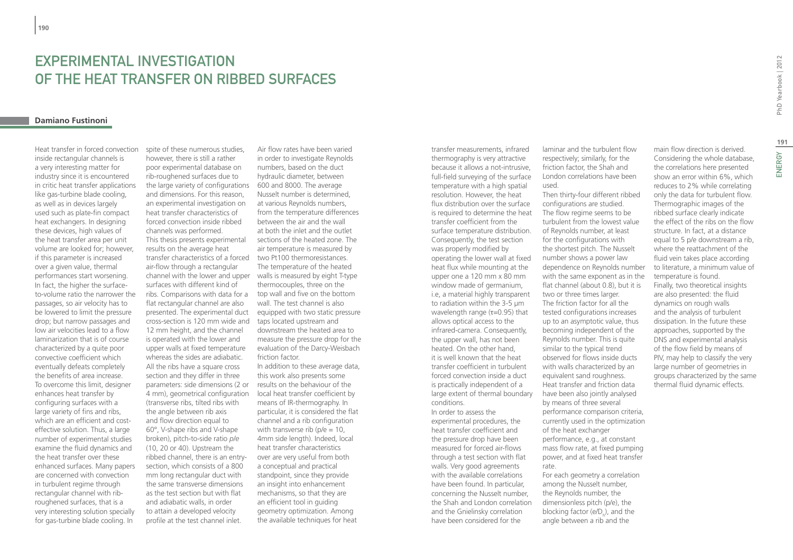## EXPERIMENTAL INVESTIGATION OF THE HEAT TRANSFER ON RIBBED SURFACES

#### **Damiano Fustinoni**

Heat transfer in forced convection inside rectangular channels is a very interesting matter for industry since it is encountered in critic heat transfer applications like gas-turbine blade cooling, as well as in devices largely used such as plate-fin compact heat exchangers. In designing these devices, high values of the heat transfer area per unit volume are looked for; however, if this parameter is increased over a given value, thermal performances start worsening. In fact, the higher the surfaceto-volume ratio the narrower the passages, so air velocity has to be lowered to limit the pressure drop; but narrow passages and low air velocities lead to a flow laminarization that is of course characterized by a quite poor convective coefficient which eventually defeats completely the benefits of area increase. To overcome this limit, designer enhances heat transfer by configuring surfaces with a large variety of fins and ribs, which are an efficient and costeffective solution. Thus, a large number of experimental studies examine the fluid dynamics and the heat transfer over these enhanced surfaces. Many papers are concerned with convection in turbulent regime through rectangular channel with ribroughened surfaces, that is a very interesting solution specially for gas-turbine blade cooling. In

spite of these numerous studies, however, there is still a rather poor experimental database on rib-roughened surfaces due to the large variety of configurations 600 and 8000. The average and dimensions. For this reason, an experimental investigation on heat transfer characteristics of forced convection inside ribbed channels was performed. This thesis presents experimental results on the average heat transfer characteristics of a forced two Pt100 thermoresistances. air-flow through a rectangular channel with the lower and upper walls is measured by eight T-type surfaces with different kind of ribs. Comparisons with data for a top wall and five on the bottom flat rectangular channel are also presented. The experimental duct cross-section is 120 mm wide and 12 mm height, and the channel is operated with the lower and upper walls at fixed temperature whereas the sides are adiabatic. All the ribs have a square cross section and they differ in three parameters: side dimensions (2 or results on the behaviour of the 4 mm), geometrical configuration (transverse ribs, tilted ribs with the angle between rib axis and flow direction equal to 60°, V-shape ribs and V-shape broken), pitch-to-side ratio *p/e* (10, 20 or 40). Upstream the ribbed channel, there is an entrysection, which consists of a 800 mm long rectangular duct with the same transverse dimensions as the test section but with flat and adiabatic walls, in order to attain a developed velocity profile at the test channel inlet.

Air flow rates have been varied in order to investigate Reynolds numbers, based on the duct hydraulic diameter, between Nusselt number is determined, at various Reynolds numbers, from the temperature differences between the air and the wall at both the inlet and the outlet sections of the heated zone. The air temperature is measured by The temperature of the heated thermocouples, three on the wall. The test channel is also equipped with two static pressure taps located upstream and downstream the heated area to measure the pressure drop for the evaluation of the Darcy-Weisbach friction factor. In addition to these average data, this work also presents some local heat transfer coefficient by means of IR-thermography. In particular, it is considered the flat channel and a rib configuration

with transverse rib ( $p/e = 10$ , 4mm side length). Indeed, local heat transfer characteristics over are very useful from both a conceptual and practical standpoint, since they provide an insight into enhancement mechanisms, so that they are an efficient tool in guiding geometry optimization. Among the available techniques for heat transfer measurements, infrared thermography is very attractive because it allows a not-intrusive, full-field surveying of the surface temperature with a high spatial resolution. However, the heat flux distribution over the surface is required to determine the heat transfer coefficient from the surface temperature distribution. Consequently, the test section was properly modified by operating the lower wall at fixed heat flux while mounting at the upper one a 120 mm x 80 mm window made of germanium, i.e, a material highly transparent to radiation within the 3-5 µm wavelength range (τ=0.95) that allows optical access to the infrared-camera. Consequently, the upper wall, has not been heated. On the other hand, it is well known that the heat transfer coefficient in turbulent forced convection inside a duct is practically independent of a large extent of thermal boundary conditions. In order to assess the

experimental procedures, the heat transfer coefficient and the pressure drop have been measured for forced air-flows through a test section with flat walls. Very good agreements with the available correlations have been found. In particular, concerning the Nusselt number, the Shah and London correlation and the Gnielinsky correlation have been considered for the

laminar and the turbulent flow respectively; similarly, for the friction factor, the Shah and London correlations have been used.

Then thirty-four different ribbed configurations are studied. The flow regime seems to be turbulent from the lowest value of Reynolds number, at least for the configurations with the shortest pitch. The Nusselt number shows a power law dependence on Reynolds number with the same exponent as in the flat channel (about 0.8), but it is two or three times larger. The friction factor for all the tested configurations increases up to an asymptotic value, thus becoming independent of the Reynolds number. This is quite similar to the typical trend observed for flows inside ducts with walls characterized by an equivalent sand roughness. Heat transfer and friction data have been also jointly analysed by means of three several performance comparison criteria, currently used in the optimization of the heat exchanger performance, e.g., at constant mass flow rate, at fixed pumping power, and at fixed heat transfer rate. For each geometry a correlation among the Nusselt number,

the Reynolds number, the dimensionless pitch (p/e), the blocking factor (e/D<sub>h</sub>), and the angle between a rib and the

main flow direction is derived. Considering the whole database, the correlations here presented show an error within 6%, which reduces to 2% while correlating only the data for turbulent flow. Thermographic images of the ribbed surface clearly indicate the effect of the ribs on the flow structure. In fact, at a distance equal to 5 p/e downstream a rib, where the reattachment of the fluid vein takes place according to literature, a minimum value of temperature is found. Finally, two theoretical insights are also presented: the fluid dynamics on rough walls and the analysis of turbulent dissipation. In the future these approaches, supported by the DNS and experimental analysis of the flow field by means of PIV, may help to classify the very large number of geometries in groups characterized by the same thermal fluid dynamic effects.

ENERGY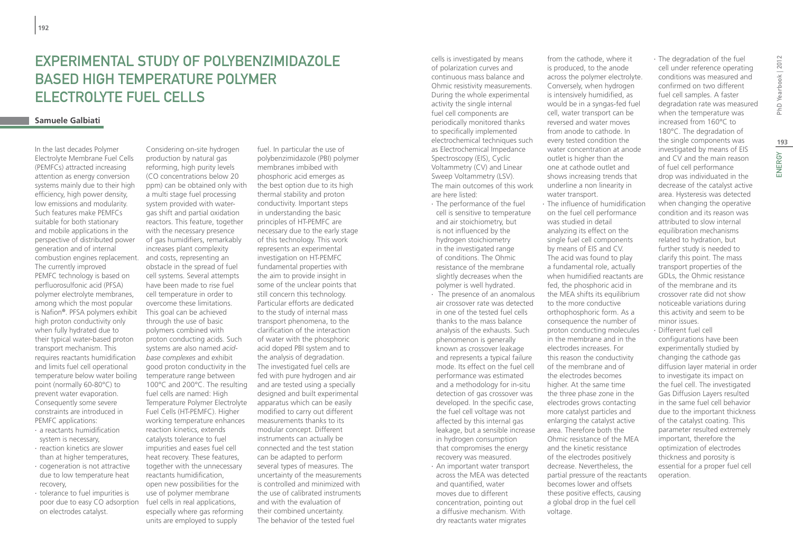## EXPERIMENTAL STUDY OF POLYBENZIMIDAZOLE Based High Temperature Polymer Electrolyte Fuel Cells

#### **Samuele Galbiati**

In the last decades Polymer Electrolyte Membrane Fuel Cells (PEMFCs) attracted increasing attention as energy conversion systems mainly due to their high efficiency, high power density, low emissions and modularity. Such features make PEMFCs suitable for both stationary and mobile applications in the perspective of distributed power generation and of internal combustion engines replacement. and costs, representing an The currently improved PEMFC technology is based on perfluorosulfonic acid (PFSA) polymer electrolyte membranes, among which the most popular is Nafion**®**. PFSA polymers exhibit high proton conductivity only when fully hydrated due to their typical water-based proton transport mechanism. This requires reactants humidification and limits fuel cell operational temperature below water boiling point (normally 60-80°C) to prevent water evaporation. Consequently some severe constraints are introduced in PEMFC applications:

- ∙ a reactants humidification system is necessary,
- ∙ reaction kinetics are slower than at higher temperatures, ∙ cogeneration is not attractive
- due to low temperature heat recovery,
- ∙ tolerance to fuel impurities is poor due to easy CO adsorption on electrodes catalyst.

Considering on-site hydrogen production by natural gas reforming, high purity levels (CO concentrations below 20 ppm) can be obtained only with a multi stage fuel processing system provided with watergas shift and partial oxidation reactors. This feature, together with the necessary presence of gas humidifiers, remarkably increases plant complexity obstacle in the spread of fuel cell systems. Several attempts have been made to rise fuel cell temperature in order to overcome these limitations. This goal can be achieved through the use of basic polymers combined with proton conducting acids. Such systems are also named *acidbase complexes* and exhibit good proton conductivity in the temperature range between 100°C and 200°C. The resulting fuel cells are named: High Temperature Polymer Electrolyte Fuel Cells (HT-PEMFC). Higher working temperature enhances reaction kinetics, extends catalysts tolerance to fuel impurities and eases fuel cell heat recovery. These features, together with the unnecessary reactants humidification, open new possibilities for the use of polymer membrane fuel cells in real applications, especially where gas reforming units are employed to supply

fuel. In particular the use of polybenzimidazole (PBI) polymer membranes imbibed with phosphoric acid emerges as the best option due to its high thermal stability and proton conductivity. Important steps in understanding the basic principles of HT-PEMFC are necessary due to the early stage of this technology. This work represents an experimental investigation on HT-PEMFC fundamental properties with the aim to provide insight in some of the unclear points that still concern this technology. Particular efforts are dedicated to the study of internal mass transport phenomena, to the clarification of the interaction of water with the phosphoric acid doped PBI system and to the analysis of degradation. The investigated fuel cells are fed with pure hydrogen and air and are tested using a specially designed and built experimental apparatus which can be easily modified to carry out different measurements thanks to its modular concept. Different instruments can actually be connected and the test station can be adapted to perform several types of measures. The uncertainty of the measurements is controlled and minimized with the use of calibrated instruments and with the evaluation of their combined uncertainty. The behavior of the tested fuel

cells is investigated by means of polarization curves and continuous mass balance and Ohmic resistivity measurements. During the whole experimental activity the single internal fuel cell components are periodically monitored thanks to specifically implemented electrochemical techniques such as Electrochemical Impedance Spectroscopy (EIS), Cyclic Voltammetry (CV) and Linear Sweep Voltammetry (LSV). The main outcomes of this work are here listed:

∙ The performance of the fuel cell is sensitive to temperature and air stoichiometry, but is not influenced by the hydrogen stoichiometry in the investigated range of conditions. The Ohmic resistance of the membrane slightly decreases when the polymer is well hydrated. ∙ The presence of an anomalous air crossover rate was detected in one of the tested fuel cells thanks to the mass balance analysis of the exhausts. Such phenomenon is generally

known as crossover leakage and represents a typical failure mode. Its effect on the fuel cell performance was estimated and a methodology for in-situ detection of gas crossover was developed. In the specific case, the fuel cell voltage was not affected by this internal gas leakage, but a sensible increase in hydrogen consumption that compromises the energy recovery was measured. ∙ An important water transport across the MEA was detected and quantified, water moves due to different concentration, pointing out a diffusive mechanism. With

dry reactants water migrates

from the cathode, where it is produced, to the anode across the polymer electrolyte. Conversely, when hydrogen is intensively humidified, as would be in a syngas-fed fuel cell, water transport can be reversed and water moves from anode to cathode. In every tested condition the water concentration at anode outlet is higher than the one at cathode outlet and shows increasing trends that underline a non linearity in water transport.

∙ The influence of humidification on the fuel cell performance was studied in detail analyzing its effect on the single fuel cell components by means of EIS and CV. The acid was found to play a fundamental role, actually when humidified reactants are fed, the phosphoric acid in the MEA shifts its equilibrium to the more conductive orthophosphoric form. As a consequence the number of proton conducting molecules in the membrane and in the electrodes increases. For this reason the conductivity of the membrane and of the electrodes becomes higher. At the same time the three phase zone in the electrodes grows contacting more catalyst particles and enlarging the catalyst active area. Therefore both the Ohmic resistance of the MEA and the kinetic resistance of the electrodes positively decrease. Nevertheless, the partial pressure of the reactants becomes lower and offsets these positive effects, causing a global drop in the fuel cell voltage.

∙ The degradation of the fuel cell under reference operating conditions was measured and confirmed on two different fuel cell samples. A faster degradation rate was measured when the temperature was increased from 160°C to 180°C. The degradation of the single components was investigated by means of EIS and CV and the main reason of fuel cell performance drop was individuated in the decrease of the catalyst active area. Hysteresis was detected when changing the operative condition and its reason was attributed to slow internal equilibration mechanisms related to hydration, but further study is needed to clarify this point. The mass transport properties of the GDLs, the Ohmic resistance of the membrane and its crossover rate did not show noticeable variations during this activity and seem to be minor issues.

∙ Different fuel cell configurations have been experimentally studied by changing the cathode gas diffusion layer material in order to investigate its impact on the fuel cell. The investigated Gas Diffusion Layers resulted in the same fuel cell behavior due to the important thickness of the catalyst coating. This parameter resulted extremely important, therefore the optimization of electrodes thickness and porosity is essential for a proper fuel cell operation.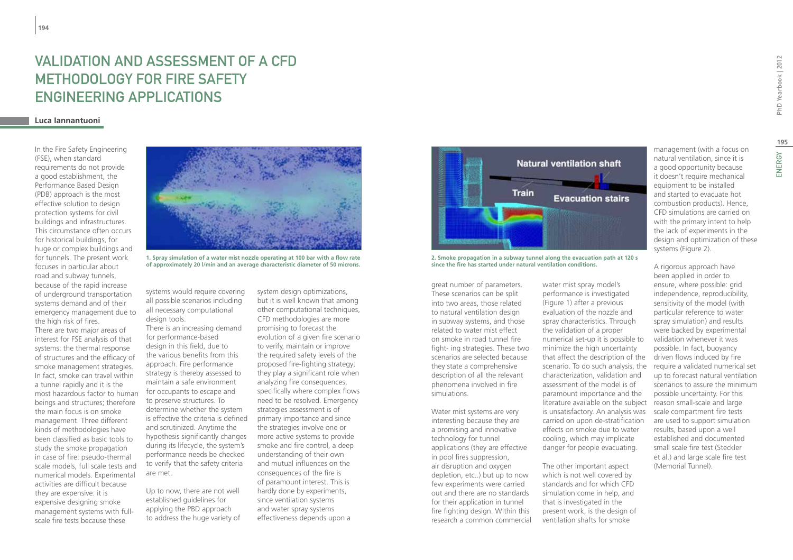## Validation and assessment of a CFD methodology for Fire Safety Engineering applications

#### **Luca Iannantuoni**

In the Fire Safety Engineering (FSE), when standard requirements do not provide a good establishment, the Performance Based Design (PDB) approach is the most effective solution to design protection systems for civil buildings and infrastructures. This circumstance often occurs for historical buildings, for huge or complex buildings and for tunnels. The present work focuses in particular about road and subway tunnels, because of the rapid increase of underground transportation systems demand and of their emergency management due to the high risk of fires. There are two major areas of interest for FSE analysis of that systems: the thermal response of structures and the efficacy of smoke management strategies. In fact, smoke can travel within a tunnel rapidly and it is the most hazardous factor to human beings and structures; therefore the main focus is on smoke management. Three different kinds of methodologies have been classified as basic tools to study the smoke propagation in case of fire: pseudo-thermal scale models, full scale tests and numerical models. Experimental activities are difficult because they are expensive: it is expensive designing smoke management systems with fullscale fire tests because these



**1. Spray simulation of a water mist nozzle operating at 100 bar with a flow rate of approximately 20 l/min and an average characteristic diameter of 50 microns.**

systems would require covering all possible scenarios including all necessary computational design tools.

There is an increasing demand for performance-based design in this field, due to the various benefits from this approach. Fire performance strategy is thereby assessed to maintain a safe environment for occupants to escape and to preserve structures. To determine whether the system is effective the criteria is defined and scrutinized. Anytime the hypothesis significantly changes during its lifecycle, the system's performance needs be checked to verify that the safety criteria are met.

Up to now, there are not well established guidelines for applying the PBD approach to address the huge variety of

system design optimizations, but it is well known that among other computational techniques, CFD methodologies are more promising to forecast the evolution of a given fire scenario to verify, maintain or improve the required safety levels of the proposed fire-fighting strategy; they play a significant role when analyzing fire consequences, specifically where complex flows need to be resolved. Emergency strategies assessment is of primary importance and since the strategies involve one or more active systems to provide smoke and fire control, a deep understanding of their own and mutual influences on the consequences of the fire is of paramount interest. This is hardly done by experiments, since ventilation systems and water spray systems effectiveness depends upon a



**2. Smoke propagation in a subway tunnel along the evacuation path at 120 s since the fire has started under natural ventilation conditions.**

great number of parameters. These scenarios can be split into two areas, those related to natural ventilation design in subway systems, and those related to water mist effect on smoke in road tunnel fire fight- ing strategies. These two scenarios are selected because they state a comprehensive description of all the relevant phenomena involved in fire simulations.

Water mist systems are very interesting because they are a promising and innovative technology for tunnel applications (they are effective in pool fires suppression, air disruption and oxygen depletion, etc..) but up to now few experiments were carried out and there are no standards for their application in tunnel fire fighting design. Within this research a common commercial

water mist spray model's performance is investigated (Figure 1) after a previous evaluation of the nozzle and spray characteristics. Through the validation of a proper numerical set-up it is possible to minimize the high uncertainty that affect the description of the scenario. To do such analysis, the characterization, validation and assessment of the model is of paramount importance and the literature available on the subject is unsatisfactory. An analysis was carried on upon de-stratification effects on smoke due to water cooling, which may implicate danger for people evacuating.

The other important aspect which is not well covered by standards and for which CFD simulation come in help, and that is investigated in the present work, is the design of ventilation shafts for smoke

management (with a focus on natural ventilation, since it is a good opportunity because it doesn't require mechanical equipment to be installed and started to evacuate hot combustion products). Hence, CFD simulations are carried on with the primary intent to help the lack of experiments in the design and optimization of these systems (Figure 2).

A rigorous approach have been applied in order to ensure, where possible: grid independence, reproducibility, sensitivity of the model (with particular reference to water spray simulation) and results were backed by experimental validation whenever it was possible. In fact, buoyancy driven flows induced by fire require a validated numerical set up to forecast natural ventilation scenarios to assure the minimum possible uncertainty. For this reason small-scale and large scale compartment fire tests are used to support simulation results, based upon a well established and documented small scale fire test (Steckler et al.) and large scale fire test (Memorial Tunnel).

**195**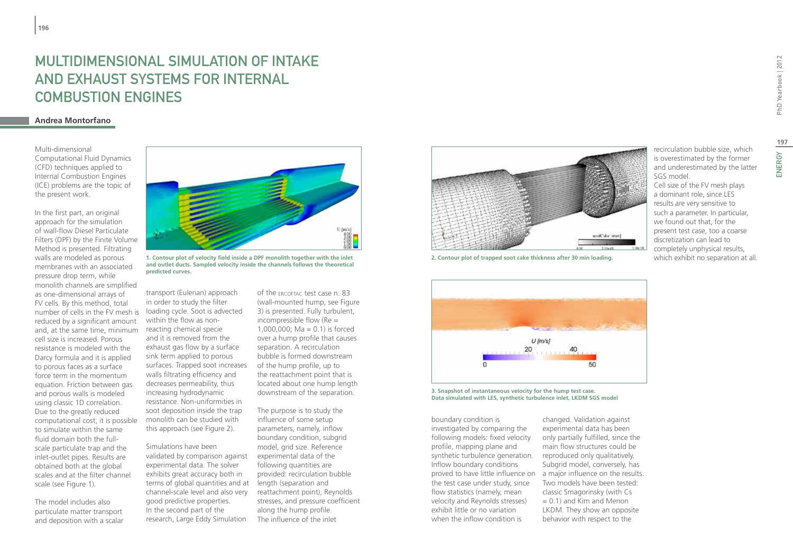## MULTIDIMENSIONAL SIMULATION OF INTAKE AND EXHAUST SYSTEMS FOR INTERNAL COMBUSTION ENGINES

### **Andrea Montorfano**

Multi-dimensional Computational Fluid Dynamics (CFD) techniques applied to Internal Combustion Engines (ICE) problems are the topic of the present work.

In the first part, an original approach for the simulation of wall-flow Diesel Particulate Filters (DPF) by the Finite Volume Method is presented. Filtrating walls are modeled as porous membranes with an associated pressure drop term, while monolith channels are simplified as one-dimensional arrays of FV cells. By this method, total number of cells in the FV mesh is reduced by a significant amount and, at the same time, minimum cell size is increased. Porous resistance is modeled with the Darcy formula and it is applied to porous faces as a surface force term in the momentum equation. Friction between gas and porous walls is modeled using classic 1D correlation. Due to the greatly reduced computational cost, it is possible to simulate within the same fluid domain both the fullscale particulate trap and the inlet-outlet pipes. Results are obtained both at the global scales and at the filter channel scale (see Figure 1).

The model includes also particulate matter transport and deposition with a scalar



**1. Contour plot of velocity field inside a DPF monolith together with the inlet and outlet ducts. Sampled velocity inside the channels follows the theoretical predicted curves.**

transport (Eulerian) approach in order to study the filter loading cycle. Soot is advected within the flow as nonreacting chemical specie and it is removed from the exhaust gas flow by a surface sink term applied to porous surfaces. Trapped soot increases walls filtrating efficiency and decreases permeability, thus increasing hydrodynamic resistance. Non-uniformities in soot deposition inside the trap monolith can be studied with this approach (see Figure 2).

Simulations have been validated by comparison against experimental data. The solver exhibits great accuracy both in terms of global quantities and at length (separation and channel-scale level and also very good predictive properties. In the second part of the research, Large Eddy Simulation

of the ercoftac test case n. 83 (wall-mounted hump, see Figure 3) is presented. Fully turbulent, incompressible flow (Re = 1,000,000; Ma =  $0.1$ ) is forced over a hump profile that causes separation. A recirculation bubble is formed downstream of the hump profile, up to the reattachment point that is located about one hump length downstream of the separation.

The purpose is to study the influence of some setup parameters, namely, inflow boundary condition, subgrid model, grid size. Reference experimental data of the following quantities are provided: recirculation bubble reattachment point), Reynolds stresses, and pressure coefficient along the hump profile. The influence of the inlet



**2. Contour plot of trapped soot cake thickness after 30 min loading.** which exhibit no separation at all.



**3. Snapshot of instantaneous velocity for the hump test case. Data simulated with LES, synthetic turbulence inlet, LKDM SGS model**

boundary condition is investigated by comparing the following models: fixed velocity profile, mapping plane and synthetic turbulence generation. Inflow boundary conditions the test case under study, since flow statistics (namely, mean velocity and Reynolds stresses) exhibit little or no variation when the inflow condition is

proved to have little influence on a major influence on the results. changed. Validation against experimental data has been only partially fulfilled, since the main flow structures could be reproduced only qualitatively. Subgrid model, conversely, has Two models have been tested: classic Smagorinsky (with Cs  $= 0.1$ ) and Kim and Menon LKDM. They show an opposite behavior with respect to the

recirculation bubble size, which is overestimated by the former and underestimated by the latter SGS model. Cell size of the FV mesh plays

a dominant role, since LES results are very sensitive to such a parameter. In particular, we found out that, for the present test case, too a coarse discretization can lead to completely unphysical results,